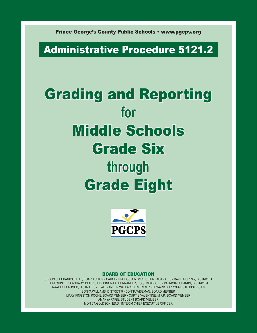Prince George's County Public Schools • www.pgcps.org

# Administrative Procedure 5121.2

# Grading and Reporting **for**  Middle Schools Grade Six **through**  Grade Eight



#### BOARD OF EDUCATION

SEGUN C. EUBANKS, ED.D., BOARD CHAIR • CAROLYN M. BOSTON, VICE CHAIR, DISTRICT 6 • DAVID MURRAY, DISTRICT 1 LUPI QUINTEROS-GRADY, DISTRICT 2 • DINORA A. HERNANDEZ, ESQ., DISTRICT 3 • PATRICIA EUBANKS, DISTRICT 4 RAAHEELA AHMED, DISTRICT 5 • K. ALEXANDER WALLACE, DISTRICT 7 • EDWARD BURROUGHS III, DISTRICT 8 SONYA WILLIAMS, DISTRICT 9 • DONNA WISEMAN, BOARD MEMBER MARY KINGSTON ROCHE, BOARD MEMBER • CURTIS VALENTINE, M.P.P., BOARD MEMBER AMANYA PAIGE, STUDENT BOARD MEMBER MONICA GOLDSON, ED.D., INTERIM CHIEF EXECUTIVE OFFICER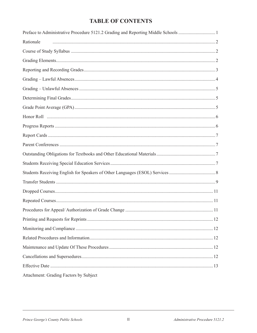#### **TABLE OF CONTENTS**

| Preface to Administrative Procedure 5121.2 Grading and Reporting Middle Schools 1 |  |
|-----------------------------------------------------------------------------------|--|
| Rationale                                                                         |  |
|                                                                                   |  |
|                                                                                   |  |
|                                                                                   |  |
|                                                                                   |  |
|                                                                                   |  |
|                                                                                   |  |
|                                                                                   |  |
|                                                                                   |  |
|                                                                                   |  |
|                                                                                   |  |
|                                                                                   |  |
|                                                                                   |  |
|                                                                                   |  |
|                                                                                   |  |
|                                                                                   |  |
|                                                                                   |  |
|                                                                                   |  |
|                                                                                   |  |
|                                                                                   |  |
|                                                                                   |  |
|                                                                                   |  |
|                                                                                   |  |
|                                                                                   |  |
|                                                                                   |  |
| Attachment: Grading Factors by Subject                                            |  |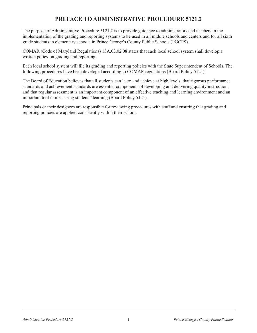#### **PREFACE TO ADMINISTRATIVE PROCEDURE 5121.2**

The purpose of Administrative Procedure 5121.2 is to provide guidance to administrators and teachers in the implementation of the grading and reporting systems to be used in all middle schools and centers and for all sixth grade students in elementary schools in Prince George's County Public Schools (PGCPS).

COMAR (Code of Maryland Regulations) 13A.03.02.08 states that each local school system shall develop a written policy on grading and reporting.

Each local school system will file its grading and reporting policies with the State Superintendent of Schools. The following procedures have been developed according to COMAR regulations (Board Policy 5121).

The Board of Education believes that all students can learn and achieve at high levels, that rigorous performance standards and achievement standards are essential components of developing and delivering quality instruction, and that regular assessment is an important component of an effective teaching and learning environment and an important tool in measuring students' learning (Board Policy 5121).

Principals or their designees are responsible for reviewing procedures with staff and ensuring that grading and reporting policies are applied consistently within their school.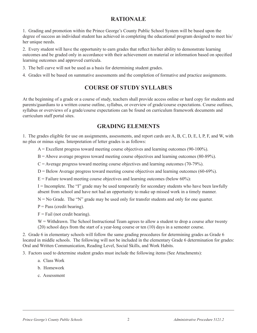#### **RATIONALE**

1. Grading and promotion within the Prince George's County Public School System will be based upon the degree of success an individual student has achieved in completing the educational program designed to meet his/ her unique needs.

2. Every student will have the opportunity to earn grades that reflect his/her ability to demonstrate learning outcomes and be graded only in accordance with their achievement on material or information based on specified learning outcomes and approved curricula.

- 3. The bell curve will not be used as a basis for determining student grades.
- 4. Grades will be based on summative assessments and the completion of formative and practice assignments.

#### **COURSE OF STUDY SYLLABUS**

At the beginning of a grade or a course of study, teachers shall provide access online or hard copy for students and parents/guardians to a written course outline, syllabus, or overview of grade/course expectations. Course outlines, syllabus or overviews of a grade/course expectations can be found on curriculum framework documents and curriculum staff portal sites.

#### **GRADING ELEMENTS**

1. The grades eligible for use on assignments, assessments, and report cards are A, B, C, D, E, I, P, F, and W, with no plus or minus signs. Interpretation of letter grades is as follows:

 $A =$  Excellent progress toward meeting course objectives and learning outcomes (90-100%).

- B = Above average progress toward meeting course objectives and learning outcomes (80-89%).
- $C =$  Average progress toward meeting course objectives and learning outcomes (70-79%).
- $D =$  Below Average progress toward meeting course objectives and learning outcomes (60-69%).
- $E =$  Failure toward meeting course objectives and learning outcomes (below 60%).

 $I = Incomplete.$  The "I" grade may be used temporarily for secondary students who have been lawfully absent from school and have not had an opportunity to make up missed work in a timely manner.

 $N = No$  Grade. The "N" grade may be used only for transfer students and only for one quarter.

 $P = Pass$  (credit bearing).

 $F =$ Fail (not credit bearing).

W = Withdrawn. The School Instructional Team agrees to allow a student to drop a course after twenty (20) school days from the start of a year-long course or ten (10) days in a semester course.

2. Grade 6 in elementary schools will follow the same grading procedures for determining grades as Grade 6 located in middle schools. The following will not be included in the elementary Grade 6 determination for grades: Oral and Written Communication, Reading Level, Social Skills, and Work Habits.

3. Factors used to determine student grades must include the following items (See Attachments):

- a. Class Work
- b. Homework
- c. Assessment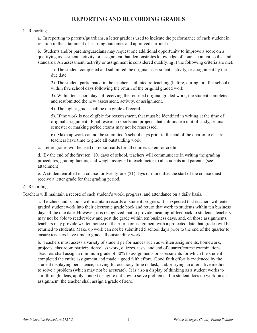#### **REPORTING AND RECORDING GRADES**

#### 1. Reporting

a. In reporting to parents/guardians, a letter grade is used to indicate the performance of each student in relation to the attainment of learning outcomes and approved curricula.

b. Students and/or parents/guardians may request one additional opportunity to improve a score on a qualifying assessment, activity, or assignment that demonstrates knowledge of course content, skills, and standards. An assessment, activity or assignment is considered qualifying if the following criteria are met:

1). The student completed and submitted the original assessment, activity, or assignment by the due date.

2). The student participated in the teacher-facilitated re-teaching (before, during, or after school) within five school days following the return of the original graded work.

3). Within ten school days of receiving the returned original graded work, the student completed and resubmitted the new assessment, activity, or assignment.

4). The higher grade shall be the grade of record.

5). If the work is not eligible for reassessment, that must be identified in writing at the time of original assignment. Final research reports and projects that culminate a unit of study, or final semester or marking period exams may not be reassessed.

6). Make up work can not be submitted 5 school days prior to the end of the quarter to ensure teachers have time to grade all outstanding work.

c. Letter grades will be used on report cards for all courses taken for credit.

d. By the end of the first ten (10) days of school, teachers will communicate in writing the grading procedures, grading factors, and weight assigned to each factor to all students and parents. (see attachment)

e. A student enrolled in a course for twenty-one (21) days or more after the start of the course must receive a letter grade for that grading period.

#### 2. Recording

Teachers will maintain a record of each student's work, progress, and attendance on a daily basis.

a. Teachers and schools will maintain records of student progress. It is expected that teachers will enter graded student work into their electronic grade book and return that work to students within ten business days of the due date. However, it is recognized that to provide meaningful feedback to students, teachers may not be able to read/review and post the grade within ten business days, and, on those assignments, teachers may provide written notice on the rubric or assignment with a projected date that grades will be returned to students. Make up work can not be submitted 5 school days prior to the end of the quarter to ensure teachers have time to grade all outstanding work.

b. Teachers must assess a variety of student performances such as written assignments, homework, projects, classroom participation/class work, quizzes, tests, and end of quarter/course examinations. Teachers shall assign a minimum grade of 50% to assignments or assessments for which the student completed the entire assignment and made a good faith effort. Good faith effort is evidenced by the student displaying persistence, striving for accuracy, time on task, and/or trying an alternative method to solve a problem (which may not be accurate). It is also a display of thinking as a student works to sort through ideas, apply context or figure out how to solve problems. If a student does no work on an assignment, the teacher shall assign a grade of zero.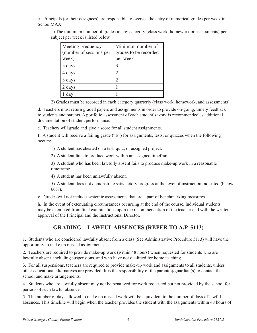c. Principals (or their designees) are responsible to oversee the entry of numerical grades per week in SchoolMAX.

1) The minimum number of grades in any category (class work, homework or assessments) per subject per week is listed below.

| <b>Meeting Frequency</b><br>(number of sessions per<br>week) | Minimum number of<br>grades to be recorded<br>per week |
|--------------------------------------------------------------|--------------------------------------------------------|
| 5 days                                                       |                                                        |
| 4 days                                                       |                                                        |
| 3 days                                                       |                                                        |
| 2 days                                                       |                                                        |
| day                                                          |                                                        |

2) Grades must be recorded in each category quarterly (class work, homework, and assessments).

d. Teachers must return graded papers and assignments in order to provide on-going, timely feedback to students and parents. A portfolio assessment of each student's work is recommended as additional documentation of student performance.

e. Teachers will grade and give a score for all student assignments.

f. A student will receive a failing grade ("E") for assignments, tests, or quizzes when the following occurs:

1) A student has cheated on a test, quiz, or assigned project.

2) A student fails to produce work within an assigned timeframe.

3) A student who has been lawfully absent fails to produce make-up work in a reasonable timeframe.

4) A student has been unlawfully absent.

5) A student does not demonstrate satisfactory progress at the level of instruction indicated (below 60%).

g. Grades will not include systemic assessments that are a part of benchmarking measures.

h. In the event of extenuating circumstances occurring at the end of the course, individual students may be exempted from final examinations upon the recommendation of the teacher and with the written approval of the Principal and the Instructional Director.

#### **GRADING – LAWFUL ABSENCES (REFER TO A.P. 5113)**

1. Students who are considered lawfully absent from a class (See Administrative Procedure 5113) will have the opportunity to make up missed assignments.

2. Teachers are required to provide make-up work (within 48 hours) when requested for students who are lawfully absent, including suspensions, and who have not qualified for home teaching.

3. For all suspensions, teachers are required to provide make-up work and assignments to all students, unless other educational alternatives are provided. It is the responsibility of the parent(s)/guardian(s) to contact the school and make arrangements.

4. Students who are lawfully absent may not be penalized for work requested but not provided by the school for periods of such lawful absence.

5. The number of days allowed to make up missed work will be equivalent to the number of days of lawful absences. This timeline will begin when the teacher provides the student with the assignments within 48 hours of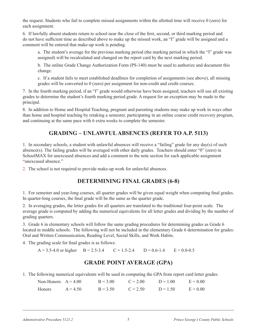the request. Students who fail to complete missed assignments within the allotted time will receive 0 (zero) for each assignment.

6. If lawfully absent students return to school near the close of the first, second, or third marking period and do not have sufficient time as described above to make up the missed work, an "I" grade will be assigned and a comment will be entered that make-up work is pending.

a. The student's average for the previous marking period (the marking period in which the "I" grade was assigned) will be recalculated and changed on the report card by the next marking period.

b. The online Grade Change Authorization Form (PS-140) must be used to authorize and document this change.

c. If a student fails to meet established deadlines for completion of assignments (see above), all missing grades will be converted to 0 (zero) per assignment for non-credit and credit courses.

7. In the fourth marking period, if an "I" grade would otherwise have been assigned, teachers will use all existing grades to determine the student's fourth marking period grade. A request for an exception may be made to the principal.

8. In addition to Home and Hospital Teaching, pregnant and parenting students may make up work in ways other than home and hospital teaching by retaking a semester, participating in an online course credit recovery program, and continuing at the same pace with 6 extra weeks to complete the semester.

#### **GRADING – UNLAWFUL ABSENCES (REFER TO A.P. 5113)**

1. In secondary schools, a student with unlawful absences will receive a "failing" grade for any day(s) of such absence(s). The failing grades will be averaged with other daily grades. Teachers should enter "0" (zero) in SchoolMAX for unexcused absences and add a comment to the note section for each applicable assignment "unexcused absence."

2. The school is not required to provide make-up work for unlawful absences.

#### **DETERMINING FINAL GRADES (6-8)**

1. For semester and year-long courses, all quarter grades will be given equal weight when computing final grades. In quarter-long courses, the final grade will be the same as the quarter grade.

2. In averaging grades, the letter grades for all quarters are translated to the traditional four-point scale. The average grade is computed by adding the numerical equivalents for all letter grades and dividing by the number of grading quarters.

3. Grade 6 in elementary schools will follow the same grading procedures for determining grades as Grade 6 located in middle schools. The following will not be included in the elementary Grade 6 determination for grades: Oral and Written Communication, Reading Level, Social Skills, and Work Habits.

4. The grading scale for final grades is as follows:

 $A = 3.5-4.0$  or higher  $B = 2.5-3.4$   $C = 1.5-2.4$   $D = 0.6-1.4$   $E = 0.0-0.5$ 

#### **GRADE POINT AVERAGE (GPA)**

1. The following numerical equivalents will be used in computing the GPA from report card letter grades:

| Non-Honors $A = 4.00$ |            | $B = 3.00$ | $C = 2.00$ | $D = 100$  | $E = 0.00$ |
|-----------------------|------------|------------|------------|------------|------------|
| <b>Honors</b>         | $A = 4.50$ | $B = 3.50$ | $C = 2.50$ | $D = 1.50$ | $E = 0.00$ |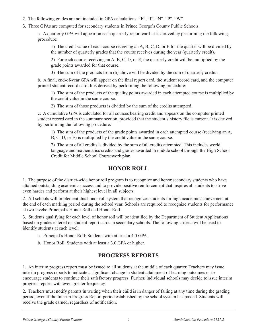- 2. The following grades are not included in GPA calculations: "F", "I", "N", "P", "W".
- 3. Three GPAs are computed for secondary students in Prince George's County Public Schools.

a. A quarterly GPA will appear on each quarterly report card. It is derived by performing the following procedure:

1) The credit value of each course receiving an A, B, C, D, or E for the quarter will be divided by the number of quarterly grades that the course receives during the year (quarterly credit).

2) For each course receiving an A, B, C, D, or E, the quarterly credit will be multiplied by the grade points awarded for that course.

3) The sum of the products from (b) above will be divided by the sum of quarterly credits.

b. A final, end-of-year GPA will appear on the final report card, the student record card, and the computer printed student record card. It is derived by performing the following procedure:

1) The sum of the products of the quality points awarded in each attempted course is multiplied by the credit value in the same course.

2) The sum of those products is divided by the sum of the credits attempted.

c. A cumulative GPA is calculated for all courses bearing credit and appears on the computer printed student record card in the summary section, provided that the student's history file is current. It is derived by performing the following procedure:

1) The sum of the products of the grade points awarded in each attempted course (receiving an A, B, C, D, or E) is multiplied by the credit value in the same course.

2) The sum of all credits is divided by the sum of all credits attempted. This includes world language and mathematics credits and grades awarded in middle school through the High School Credit for Middle School Coursework plan.

#### **HONOR ROLL**

1. The purpose of the district-wide honor roll program is to recognize and honor secondary students who have attained outstanding academic success and to provide positive reinforcement that inspires all students to strive even harder and perform at their highest level in all subjects.

2. All schools will implement this honor roll system that recognizes students for high academic achievement at the end of each marking period during the school year. Schools are required to recognize students for performance at two levels: Principal's Honor Roll and Honor Roll.

3. Students qualifying for each level of honor roll will be identified by the Department of Student Applications based on grades entered on student report cards in secondary schools. The following criteria will be used to identify students at each level:

a. Principal's Honor Roll: Students with at least a 4.0 GPA.

b. Honor Roll: Students with at least a 3.0 GPA or higher.

#### **PROGRESS REPORTS**

1. An interim progress report must be issued to all students at the middle of each quarter. Teachers may issue interim progress reports to indicate a significant change in student attainment of learning outcomes or to encourage students to continue their satisfactory progress. Further, individual schools may decide to issue interim progress reports with even greater frequency.

2. Teachers must notify parents in writing when their child is in danger of failing at any time during the grading period, even if the Interim Progress Report period established by the school system has passed. Students will receive the grade earned, regardless of notification.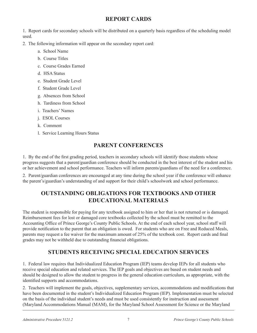#### **REPORT CARDS**

1. Report cards for secondary schools will be distributed on a quarterly basis regardless of the scheduling model used.

2. The following information will appear on the secondary report card:

- a. School Name
- b. Course Titles
- c. Course Grades Earned
- d. HSA Status
- e. Student Grade Level
- f. Student Grade Level
- g. Absences from School
- h. Tardiness from School
- i. Teachers' Names
- j. ESOL Courses
- k. Comment
- l. Service Learning Hours Status

#### **PARENT CONFERENCES**

1. By the end of the first grading period, teachers in secondary schools will identify those students whose progress suggests that a parent/guardian conference should be conducted in the best interest of the student and his or her achievement and school performance. Teachers will inform parents/guardians of the need for a conference.

2. Parent/guardian conferences are encouraged at any time during the school year if the conference will enhance the parent's/guardian's understanding of and support for their child's schoolwork and school performance.

#### **OUTSTANDING OBLIGATIONS FOR TEXTBOOKS AND OTHER EDUCATIONAL MATERIALS**

The student is responsible for paying for any textbook assigned to him or her that is not returned or is damaged. Reimbursement fees for lost or damaged core textbooks collected by the school must be remitted to the Accounting Office of Prince George's County Public Schools. At the end of each school year, school staff will provide notification to the parent that an obligation is owed. For students who are on Free and Reduced Meals, parents may request a fee waiver for the maximum amount of 25% of the textbook cost. Report cards and final grades may not be withheld due to outstanding financial obligations.

#### **STUDENTS RECEIVING SPECIAL EDUCATION SERVICES**

1. Federal law requires that Individualized Education Program (IEP) teams develop IEPs for all students who receive special education and related services. The IEP goals and objectives are based on student needs and should be designed to allow the student to progress in the general education curriculum, as appropriate, with the identified supports and accommodations.

2. Teachers will implement the goals, objectives, supplementary services, accommodations and modifications that have been documented in the student's Individualized Education Program (IEP). Implementation must be selected on the basis of the individual student's needs and must be used consistently for instruction and assessment (Maryland Accommodations Manual (MAM), for the Maryland School Assessment for Science or the Maryland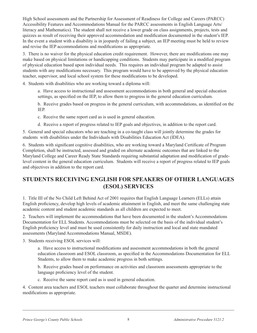High School assessments and the Partnership for Assessment of Readiness for College and Careers (PARCC) Accessibility Features and Accommodations Manual for the PARCC assessments in English Language Arts/ literacy and Mathematics). The student shall not receive a lower grade on class assignments, projects, tests and quizzes as result of receiving their approved accommodation and modification documented in the student's IEP. In the event a student with a disability is in jeopardy of failing a subject, an IEP meeting must be held to review and revise the IEP accommodations and modifications as appropriate.

3. There is no waiver for the physical education credit requirement. However, there are modifications one may make based on physical limitations or handicapping conditions. Students may participate in a modified program of physical education based upon individual needs. This requires an individual program be adapted to assist students with any modifications necessary. This program would have to be approved by the physical education teacher, supervisor, and local school system for these modifications to be developed.

4. Students with disabilities who are working toward a diploma will:

a. Have access to instructional and assessment accommodations in both general and special education settings, as specified on the IEP, to allow them to progress in the general education curriculum.

b. Receive grades based on progress in the general curriculum, with accommodations, as identified on the IEP.

- c. Receive the same report card as is used in general education.
- d. Receive a report of progress related to IEP goals and objectives, in addition to the report card.

5. General and special educators who are teaching in a co-taught class will jointly determine the grades for students with disabilities under the Individuals with Disabilities Education Act (IDEA).

6. Students with significant cognitive disabilities, who are working toward a Maryland Certificate of Program Completion, shall be instructed, assessed and graded on alternate academic outcomes that are linked to the Maryland College and Career Ready State Standards requiring substantial adaptation and modification of gradelevel content in the general education curriculum. Students will receive a report of progress related to IEP goals and objectives in addition to the report card.

#### **STUDENTS RECEIVING ENGLISH FOR SPEAKERS OF OTHER LANGUAGES (ESOL) SERVICES**

1. Title III of the No Child Left Behind Act of 2001 requires that English Language Learners (ELLs) attain English proficiency, develop high levels of academic attainment in English, and meet the same challenging state academic content and student academic standards as all children are expected to meet.

2. Teachers will implement the accommodations that have been documented in the student's Accommodations Documentation for ELL Students. Accommodations must be selected on the basis of the individual student's English proficiency level and must be used consistently for daily instruction and local and state mandated assessments (Maryland Accommodations Manual, MSDE).

3. Students receiving ESOL services will:

a. Have access to instructional modifications and assessment accommodations in both the general education classroom and ESOL classroom, as specified in the Accommodations Documentation for ELL Students, to allow them to make academic progress in both settings.

b. Receive grades based on performance on activities and classroom assessments appropriate to the language proficiency level of the student.

c. Receive the same report card as is used in general education.

4. Content area teachers and ESOL teachers must collaborate throughout the quarter and determine instructional modifications as appropriate.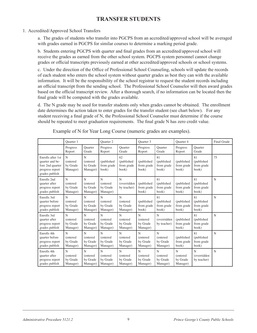#### **TRANSFER STUDENTS**

#### 1. Accredited/Approved School Transfers

a. The grades of students who transfer into PGCPS from an accredited/approved school will be averaged with grades earned in PGCPS for similar courses to determine a marking period grade.

b. Students entering PGCPS with quarter and final grades from an accredited/approved school will receive the grades as earned from the other school system. PGCPS system personnel cannot change grades or official transcripts previously earned at other accredited/approved schools or school systems.

c. Under the direction of the Office of Professional School Counseling, schools will update the records of each student who enters the school system without quarter grades as best they can with the available information. It will be the responsibility of the school registrar to request the student records including an official transcript from the sending school. The Professional School Counselor will then award grades based on the official transcript review. After a thorough search, if no information can be located then the final grade will be computed with the grades available.

d. The N grade may be used for transfer students only when grades cannot be obtained. The enrollment date determines the action taken to enter grades for the transfer student (see chart below). For any student receiving a final grade of N, the Professional School Counselor must determine if the course should be repeated to meet graduation requirements. The final grade N has zero credit value.

|                                                                                               | <b>Ouarter</b> 1                              |                                                  | <b>Ouarter 2</b>                                |                                                 | Quarter 3                             |                                                  | Quarter 4                              |                                         | Final Grade |
|-----------------------------------------------------------------------------------------------|-----------------------------------------------|--------------------------------------------------|-------------------------------------------------|-------------------------------------------------|---------------------------------------|--------------------------------------------------|----------------------------------------|-----------------------------------------|-------------|
|                                                                                               | Progress<br>Report                            | Ouarter<br>Grade                                 | Progress<br>Report                              | Ouarter<br>Grade                                | Progress<br>Report                    | Ouarter<br>Grade                                 | Progress<br>Report                     | Ouarter<br>Grade                        |             |
| Enrolls after 1st<br>quarter and be-<br>fore 2nd quarter<br>progress report<br>grades publish | N<br>(entered<br>by Grade<br>Manager)         | N<br>(entered<br>by Grade<br>Manager)            | (published<br>from grade<br>book)               | 62<br>(published<br>from grade<br>book)         | (published<br>from grade<br>book)     | 81<br>(published<br>from grade<br>book)          | (published<br>from grade<br>book)      | 81<br>(published<br>from grade<br>book) | 75          |
| Enrolls 2nd<br>quarter after<br>progress report<br>grades publish                             | N<br><i>(entered)</i><br>by Grade<br>Manager) | N<br>(entered<br>by Grade<br>Manager)            | N<br>(entered<br>by Grade<br>Manager)           | N<br>(overridden<br>by teacher)                 | (published<br>from grade<br>book)     | 81<br>(published<br>from grade<br>book)          | (published<br>from grade<br>book)      | 81<br>(published<br>from grade<br>book) | $\mathbf N$ |
| Enrolls 3rd<br>quarter before<br>progress report<br>grades publish                            | N<br>(entered<br>by Grade<br>Manager)         | $\mathbf N$<br>(entered<br>by Grade<br>Manager)  | N<br>(entered<br>by Grade<br>Manager)           | $\mathbf N$<br>(entered<br>by Grade<br>Manager) | (published<br>from grade<br>book)     | 81<br>(published<br>from grade<br>book)          | (published<br>from grade<br>book)      | 81<br>(published<br>from grade<br>book) | $\mathbf N$ |
| Enrolls 3rd<br>quarter after<br>progress report<br>grades publish                             | N<br>(entered<br>by Grade<br>Manager)         | N<br>(entered<br>by Grade<br>Manager)            | $\mathbf N$<br>(entered<br>by Grade<br>Manager) | N<br>(entered<br>by Grade<br>Manager)           | N<br>(entered<br>by Grade<br>Manager) | N<br>(overridden<br>by teacher)                  | (published<br>from grade<br>book)      | 81<br>(published<br>from grade<br>book) | $\mathbf N$ |
| Enrolls 4th<br>quarter before<br>progress report<br>grades publish                            | N<br><i>(entered)</i><br>by Grade<br>Manager) | $\mathbf N$<br>(entered)<br>by Grade<br>Manager) | N<br>(entered<br>by Grade<br>Manager)           | $\mathbf N$<br>(entered<br>by Grade<br>Manager) | N<br>(entered<br>by Grade<br>Manager) | $\mathbf N$<br>(entered)<br>by Grade<br>Manager) | (published<br>from grade<br>book)      | 81<br>(published<br>from grade<br>book) | $\mathbf N$ |
| Enrolls 4th<br>quarter after<br>progress report<br>grades publish                             | N<br>(entered<br>by Grade<br>Manager)         | N<br>(entered<br>by Grade<br>Manager)            | N<br>(entered<br>by Grade<br>Manager)           | N<br>(entered<br>by Grade<br>Manager)           | N<br>(entered<br>by Grade<br>Manager) | $\mathbf N$<br>(entered<br>by Grade<br>Manager)  | N<br>(entered)<br>by Grade<br>Manager) | N<br>(overridden<br>by teacher)         | N           |

Example of N for Year Long Course (numeric grades are examples).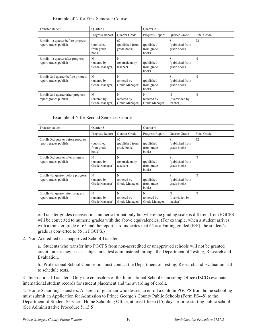#### Example of N for First Semester Course

| Transfer student                                             | <b>Ouarter</b> 1                   |                                      | <b>Ouarter 2</b>                    |                                      |             |
|--------------------------------------------------------------|------------------------------------|--------------------------------------|-------------------------------------|--------------------------------------|-------------|
|                                                              | Progress Report                    | <b>Ouarter Grade</b>                 | Progress Report                     | <b>Ouarter Grade</b>                 | Final Grade |
| Enrolls 1st quarter before progress<br>report grades publish | (published<br>from grade<br>book)  | 62<br>(published from<br>grade book) | (published<br>from grade<br>book)   | 81<br>(published from<br>grade book) | 72          |
| Enrolls 1st quarter after progress<br>report grades publish  | N<br>(entered by<br>Grade Manager) | N<br>(overridden by<br>teacher)      | (published<br>from grade<br>book)   | 81<br>(published from<br>grade book) | N           |
| Enrolls 2nd quarter before progress<br>report grades publish | N<br>(entered by<br>Grade Manager) | N<br>(entered by<br>Grade Manager)   | (published)<br>from grade<br>book)  | 81<br>(published from<br>grade book) | N           |
| Enrolls 2nd quarter after progress<br>report grades publish  | N<br>(entered by<br>Grade Manager) | N<br>(entered by)<br>Grade Manager)  | N<br>(entered by)<br>Grade Manager) | N<br>(overridden by<br>teacher)      | N           |

#### Example of N for Second Semester Course

| Transfer student                                             | Quarter 3                          |                                      | Quarter 4                           |                                      |             |
|--------------------------------------------------------------|------------------------------------|--------------------------------------|-------------------------------------|--------------------------------------|-------------|
|                                                              | Progress Report                    | <b>Quarter Grade</b>                 | Progress Report                     | Quarter Grade                        | Final Grade |
| Enrolls 3rd quarter before progress<br>report grades publish | (published<br>from grade<br>book)  | 62<br>(published from<br>grade book) | (published)<br>from grade<br>book)  | 81<br>(published from<br>grade book) | 72          |
| Enrolls 3rd quarter after progress<br>report grades publish  | N<br>(entered by<br>Grade Manager) | N<br>(overridden by<br>teacher)      | (published)<br>from grade<br>book)  | 81<br>(published from<br>grade book) | N           |
| Enrolls 4th quarter before progress<br>report grades publish | N<br>(entered by<br>Grade Manager) | N<br>(entered by<br>Grade Manager)   | (published)<br>from grade<br>book)  | 81<br>(published from<br>grade book) | N           |
| Enrolls 4th quarter after progress<br>report grades publish  | N<br>(entered by<br>Grade Manager) | N<br>(entered by)<br>Grade Manager)  | N<br>(entered by)<br>Grade Manager) | N<br>(overridden by<br>teacher)      | N           |

e. Transfer grades received in a numeric format only but where the grading scale is different from PGCPS will be converted to numeric grades with the above equivalencies. (For example, when a student arrives with a transfer grade of 65 and the report card indicates that 65 is a Failing graded (E/F), the student's grade is converted to 55 in PGCPS.)

#### 2. Non-Accredited or Unapproved School Transfers

a. Students who transfer into PGCPS from non-accredited or unapproved schools will not be granted credit, unless they pass a subject area test administered through the Department of Testing, Research and Evaluation.

b. Professional School Counselors must contact the Department of Testing, Research and Evaluation staff to schedule tests.

3. International Transfers: Only the counselors of the International School Counseling Office (ISCO) evaluate international student records for student placement and the awarding of credit.

4. Home Schooling Transfers: A parent or guardian who desires to enroll a child in PGCPS from home schooling must submit an Application for Admission to Prince George's County Public Schools (Form PS-48) to the Department of Student Services, Home Schooling Office, at least fifteen (15) days prior to starting public school (See Administrative Procedure 5113.5).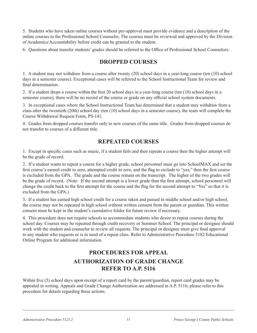5. Students who have taken online courses without pre-approval must provide evidence and a description of the online courses to the Professional School Counselor. The courses must be reviewed and approved by the Division of Academics/Accountability before credit can be granted to the student.

6. Questions about transfer students' grades should be referred to the Office of Professional School Counselors.

#### **DROPPED COURSES**

1. A student may not withdraw from a course after twenty (20) school days in a year-long course (ten (10) school days in a semester course). Exceptional cases will be referred to the School Instructional Team for review and final determination.

2. If a student drops a course within the first 20 school days in a year-long course (ten (10) school days in a semester course), there will be no record of the course or grade on any official school system documents.

3. In exceptional cases where the School Instructional Team has determined that a student may withdraw from a class after the twentieth (20th) school day (ten (10) school days in a semester course), the team will complete the Course Withdrawal Request Form, PS-141.

4. Grades from dropped courses transfer only to new courses of the same title. Grades from dropped courses do not transfer to courses of a different title.

#### **REPEATED COURSES**

1. Except in specific cases such as music, if a student fails and then repeats a course then the higher attempt will be the grade of record.

2. If a student wants to repeat a course for a higher grade, school personnel must go into SchoolMAX and set the first course's earned credit to zero, attempted credit to zero, and the flag to exclude to "yes," then the first course is excluded from the GPA. The grade and the course remain on the transcript. The higher of the two grades will be the grade of record. (Note: If the second attempt is a lower grade than the first attempt, school personnel will change the credit back to the first attempt for the course and the flag for the second attempt to "Yes" so that it is excluded from the GPA.)

3. If a student has earned high school credit for a course taken and passed in middle school and/or high school, the course may not be repeated in high school without written consent from the parent or guardian. This written consent must be kept in the student's cumulative folder for future review if necessary.

4. This procedure does not require schools to accommodate students who desire to repeat courses during the school day. Courses may be repeated through credit recovery or Summer School. The principal or designee should work with the student and counselor to review all requests. The principal or designee must give final approval to any student who requests or is in need of a repeat class. Refer to Administrative Procedure 5182 Educational Online Program for additional information.

#### **PROCEDURES FOR APPEAL AUTHORIZATION OF GRADE CHANGE REFER TO A.P. 5116**

Within five (5) school days upon receipt of a report card by the parent/guardian, report card grades may be appealed in writing. Appeals and Grade Change Authorization are addressed in A.P. 5116; please refer to this procedure for details regarding these actions.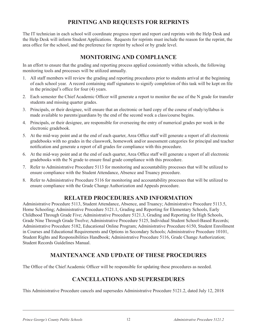#### **PRINTING AND REQUESTS FOR REPRINTS**

The IT technician in each school will coordinate progress report and report card reprints with the Help Desk and the Help Desk will inform Student Applications. Requests for reprints must include the reason for the reprint, the area office for the school, and the preference for reprint by school or by grade level.

#### **MONITORING AND COMPLIANCE**

In an effort to ensure that the grading and reporting process applied consistently within schools, the following monitoring tools and processes will be utilized annually.

- 1. All staff members will review the grading and reporting procedures prior to students arrival at the beginning of each school year. A record containing staff signatures to signify completion of this task will be kept on file in the principal's office for four (4) years.
- 2. Each semester the Chief Academic Officer will generate a report to monitor the use of the N grade for transfer students and missing quarter grades.
- 3. Principals, or their designee, will ensure that an electronic or hard copy of the course of study/syllabus is made available to parents/guardians by the end of the second week a class/course begins.
- 4. Principals, or their designee, are responsible for overseeing the entry of numerical grades per week in the electronic gradebook.
- 5. At the mid-way point and at the end of each quarter, Area Office staff will generate a report of all electronic gradebooks with no grades in the classwork, homework and/or assessment categories for principal and teacher notification and generate a report of all grades for compliance with this procedure.
- 6. At the mid-way point and at the end of each quarter, Area Office staff will generate a report of all electronic gradebooks with the N grade to ensure final grade compliance with this procedure.
- 7. Refer to Administrative Procedure 5113 for monitoring and accountability processes that will be utilized to ensure compliance with the Student Attendance, Absence and Truancy procedure.
- 8. Refer to Administrative Procedure 5116 for monitoring and accountability processes that will be utilized to ensure compliance with the Grade Change Authorization and Appeals procedure.

#### **RELATED PROCEDURES AND INFORMATION**

Administrative Procedure 5113, Student Attendance, Absence, and Truancy; Administrative Procedure 5113.5, Home Schooling; Administrative Procedure 5121.1, Grading and Reporting for Elementary Schools, Early Childhood Through Grade Five; Administrative Procedure 5121.3, Grading and Reporting for High Schools, Grade Nine Through Grade Twelve; Administrative Procedure 5125, Individual Student School-Based Records; Administrative Procedure 5182, Educational Online Program; Administrative Procedure 6150, Student Enrollment in Courses and Educational Requirements and Options in Secondary Schools; Administrative Procedure 10101, Student Rights and Responsibilities Handbook; Administrative Procedure 5116, Grade Change Authorization; Student Records Guidelines Manual.

#### **MAINTENANCE AND UPDATE OF THESE PROCEDURES**

The Office of the Chief Academic Officer will be responsible for updating these procedures as needed.

#### **CANCELLATIONS AND SUPERSEDURES**

This Administrative Procedure cancels and supersedes Administrative Procedure 5121.2, dated July 12, 2018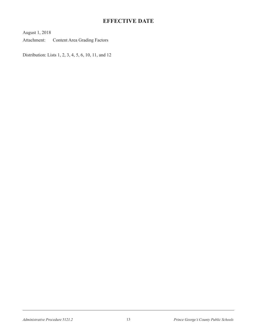#### **EFFECTIVE DATE**

August 1, 2018

Attachment: Content Area Grading Factors

Distribution: Lists 1, 2, 3, 4, 5, 6, 10, 11, and 12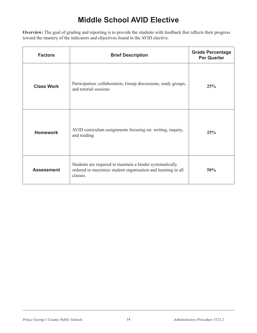# **Middle School AVID Elective**

**Overview:** The goal of grading and reporting is to provide the students with feedback that reflects their progress toward the mastery of the indicators and objectives found in the AVID elective.

| <b>Factors</b>    | <b>Brief Description</b>                                                                                                              | <b>Grade Percentage</b><br><b>Per Quarter</b> |
|-------------------|---------------------------------------------------------------------------------------------------------------------------------------|-----------------------------------------------|
| <b>Class Work</b> | Participation: collaboration, Group discussions, study groups,<br>and tutorial sessions                                               | 25%                                           |
| <b>Homework</b>   | AVID curriculum assignments focusing on: writing, inquiry,<br>and reading                                                             | 25%                                           |
| <b>Assessment</b> | Students are required to maintain a binder systematically<br>ordered to maximize student organization and learning in all<br>classes. | 50%                                           |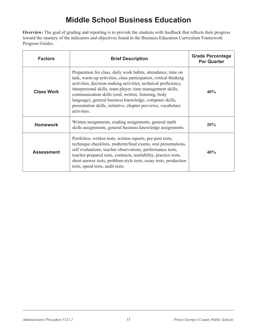### **Middle School Business Education**

**Overview:** The goal of grading and reporting is to provide the students with feedback that reflects their progress toward the mastery of the indicators and objectives found in the Business Education Curriculum Framework Progress Guides.

| <b>Factors</b>    | <b>Brief Description</b>                                                                                                                                                                                                                                                                                                                                                                                                                                             | <b>Grade Percentage</b><br><b>Per Quarter</b> |
|-------------------|----------------------------------------------------------------------------------------------------------------------------------------------------------------------------------------------------------------------------------------------------------------------------------------------------------------------------------------------------------------------------------------------------------------------------------------------------------------------|-----------------------------------------------|
| <b>Class Work</b> | Preparation for class, daily work habits, attendance, time on<br>task, warm-up activities, class participation, critical thinking<br>activities, decision-making activities, technical proficiency,<br>interpersonal skills, team player, time management skills,<br>communication skills (oral, written, listening, body<br>language), general business knowledge, computer skills,<br>presentation skills, initiative, chapter previews, vocabulary<br>activities. | 40%                                           |
| <b>Homework</b>   | Written assignments, reading assignments, general math<br>skills assignments, general business knowledge assignments.                                                                                                                                                                                                                                                                                                                                                | 20%                                           |
| <b>Assessment</b> | Portfolios, written tests, written reports, pre-post tests,<br>technique checklists, midterm/final exams, oral presentations,<br>self evaluations, teacher observations, performance tests,<br>teacher-prepared tests, contracts, mailability, practice tests,<br>short answer tests, problem-style tests, essay tests, production<br>tests, speed tests, audit tests.                                                                                               | 40%                                           |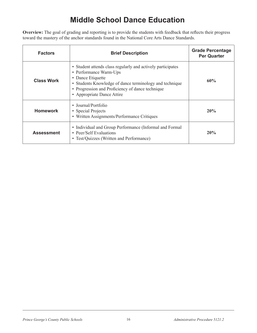# **Middle School Dance Education**

**Overview:** The goal of grading and reporting is to provide the students with feedback that reflects their progress toward the mastery of the anchor standards found in the National Core Arts Dance Standards.

| <b>Factors</b>    | <b>Brief Description</b>                                                                                                                                                                                                                                | <b>Grade Percentage</b><br><b>Per Quarter</b> |
|-------------------|---------------------------------------------------------------------------------------------------------------------------------------------------------------------------------------------------------------------------------------------------------|-----------------------------------------------|
| <b>Class Work</b> | • Student attends class regularly and actively participates<br>• Performance Warm-Ups<br>• Dance Etiquette<br>• Students Knowledge of dance terminology and technique<br>• Progression and Proficiency of dance technique<br>• Appropriate Dance Attire | 60%                                           |
| <b>Homework</b>   | • Journal/Portfolio<br>• Special Projects<br>• Written Assignments/Performance Critiques                                                                                                                                                                | 20%                                           |
| <b>Assessment</b> | • Individual and Group Performance (Informal and Formal<br>• Peer/Self Evaluations<br>• Test/Quizzes (Written and Performance)                                                                                                                          | 20%                                           |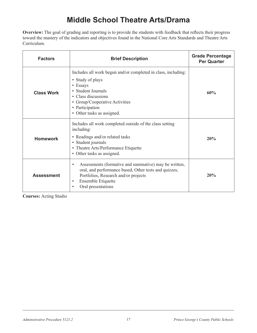### **Middle School Theatre Arts/Drama**

**Overview:** The goal of grading and reporting is to provide the students with feedback that reflects their progress toward the mastery of the indicators and objectives found in the National Core Arts Standards and Theatre Arts Curriculum.

| <b>Factors</b>    | <b>Brief Description</b>                                                                                                                                                                                                      | <b>Grade Percentage</b><br><b>Per Quarter</b> |
|-------------------|-------------------------------------------------------------------------------------------------------------------------------------------------------------------------------------------------------------------------------|-----------------------------------------------|
| <b>Class Work</b> | Includes all work begun and/or completed in class, including:<br>• Study of plays<br>• Essays<br>• Student Journals<br>• Class discussions<br>• Group/Cooperative Activities<br>• Participation<br>• Other tasks as assigned. | 60%                                           |
| <b>Homework</b>   | Includes all work completed outside of the class setting<br>including:<br>• Readings and/or related tasks<br>• Student journals<br>• Theatre Arts/Performance Etiquette<br>• Other tasks as assigned.                         | 20%                                           |
| <b>Assessment</b> | Assessments (formative and summative) may be written,<br>$\bullet$<br>oral, and performance based, Other tests and quizzes,<br>Portfolios, Research and/or projects<br>Ensemble Etiquette<br>Oral presentations               | 20%                                           |

**Courses:** Acting Studio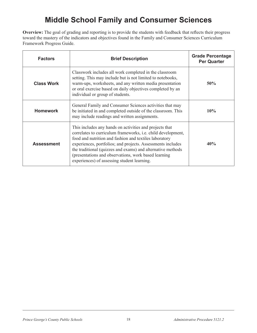## **Middle School Family and Consumer Sciences**

**Overview:** The goal of grading and reporting is to provide the students with feedback that reflects their progress toward the mastery of the indicators and objectives found in the Family and Consumer Sciences Curriculum Framework Progress Guide.

| <b>Factors</b>    | <b>Brief Description</b>                                                                                                                                                                                                                                                                                                                                                                                                | <b>Grade Percentage</b><br><b>Per Quarter</b> |
|-------------------|-------------------------------------------------------------------------------------------------------------------------------------------------------------------------------------------------------------------------------------------------------------------------------------------------------------------------------------------------------------------------------------------------------------------------|-----------------------------------------------|
| <b>Class Work</b> | Classwork includes all work completed in the classroom<br>setting. This may include but is not limited to notebooks,<br>warm-ups, worksheets, and any written media presentation<br>or oral exercise based on daily objectives completed by an<br>individual or group of students.                                                                                                                                      | 50%                                           |
| <b>Homework</b>   | General Family and Consumer Sciences activities that may<br>be initiated in and completed outside of the classroom. This<br>may include readings and written assignments.                                                                                                                                                                                                                                               | 10%                                           |
| <b>Assessment</b> | This includes any hands on activities and projects that<br>correlates to curriculum frameworks, i.e. child development,<br>food and nutrition and fashion and textiles laboratory<br>experiences, portfolios; and projects. Assessments includes<br>the traditional (quizzes and exams) and alternative methods<br>(presentations and observations, work based learning)<br>experiences) of assessing student learning. | 40%                                           |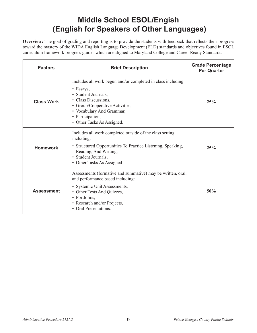# **Middle School ESOL/Engish (English for Speakers of Other Languages)**

**Overview:** The goal of grading and reporting is to provide the students with feedback that reflects their progress toward the mastery of the WIDA English Language Development (ELD) standards and objectives found in ESOL curriculum framework progress guides which are aligned to Maryland College and Career Ready Standards.

| <b>Factors</b>    | <b>Brief Description</b>                                                                                                                                                                                                                           | <b>Grade Percentage</b><br><b>Per Quarter</b> |
|-------------------|----------------------------------------------------------------------------------------------------------------------------------------------------------------------------------------------------------------------------------------------------|-----------------------------------------------|
| <b>Class Work</b> | Includes all work begun and/or completed in class including:<br>$\bullet$ Essays,<br>• Student Journals,<br>• Class Discussions,<br>• Group/Cooperative Activities,<br>• Vocabulary And Grammar,<br>• Participation,<br>• Other Tasks As Assigned. | 25%                                           |
| <b>Homework</b>   | Includes all work completed outside of the class setting<br>including:<br>• Structured Opportunities To Practice Listening, Speaking,<br>Reading, And Writing,<br>• Student Journals,<br>• Other Tasks As Assigned.                                | 25%                                           |
| <b>Assessment</b> | Assessments (formative and summative) may be written, oral,<br>and performance based including:<br>• Systemic Unit Assessments,<br>• Other Tests And Quizzes,<br>• Portfolios,<br>• Research and/or Projects,<br><b>Oral Presentations.</b>        | 50%                                           |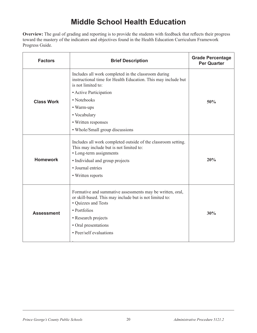### **Middle School Health Education**

**Overview:** The goal of grading and reporting is to provide the students with feedback that reflects their progress toward the mastery of the indicators and objectives found in the Health Education Curriculum Framework Progress Guide.

| <b>Factors</b>    | <b>Brief Description</b>                                                                                                                                                                                                              | <b>Grade Percentage</b><br><b>Per Quarter</b> |
|-------------------|---------------------------------------------------------------------------------------------------------------------------------------------------------------------------------------------------------------------------------------|-----------------------------------------------|
|                   | Includes all work completed in the classroom during<br>instructional time for Health Education. This may include but<br>is not limited to:                                                                                            |                                               |
|                   | • Active Participation                                                                                                                                                                                                                |                                               |
| <b>Class Work</b> | • Notebooks                                                                                                                                                                                                                           | 50%                                           |
|                   | • Warm-ups                                                                                                                                                                                                                            |                                               |
|                   | • Vocabulary                                                                                                                                                                                                                          |                                               |
|                   | • Written responses                                                                                                                                                                                                                   |                                               |
|                   | • Whole/Small group discussions                                                                                                                                                                                                       |                                               |
| <b>Homework</b>   | Includes all work completed outside of the classroom setting.<br>This may include but is not limited to:<br>• Long-term assignments<br>• Individual and group projects<br>• Journal entries<br>• Written reports                      | 20%                                           |
| <b>Assessment</b> | Formative and summative assessments may be written, oral,<br>or skill-based. This may include but is not limited to:<br>• Quizzes and Tests<br>• Portfolios<br>• Research projects<br>• Oral presentations<br>• Peer/self evaluations | 30%                                           |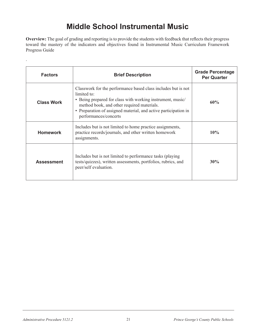### **Middle School Instrumental Music**

**Overview:** The goal of grading and reporting is to provide the students with feedback that reflects their progress toward the mastery of the indicators and objectives found in Instrumental Music Curriculum Framework Progress Guide

| <b>Factors</b>    | <b>Brief Description</b>                                                                                                                                                                                                                                                             | <b>Grade Percentage</b><br><b>Per Quarter</b> |
|-------------------|--------------------------------------------------------------------------------------------------------------------------------------------------------------------------------------------------------------------------------------------------------------------------------------|-----------------------------------------------|
| <b>Class Work</b> | Classwork for the performance based class includes but is not<br>limited to:<br>• Being prepared for class with working instrument, music/<br>method book, and other required materials.<br>• Preparation of assigned material, and active participation in<br>performances/concerts | 60%                                           |
| <b>Homework</b>   | Includes but is not limited to home practice assignments,<br>practice records/journals, and other written homework<br>assignments.                                                                                                                                                   | 10%                                           |
| <b>Assessment</b> | Includes but is not limited to performance tasks (playing)<br>tests/quizzes), written assessments, portfolios, rubrics, and<br>peer/self evaluation.                                                                                                                                 | 30%                                           |

.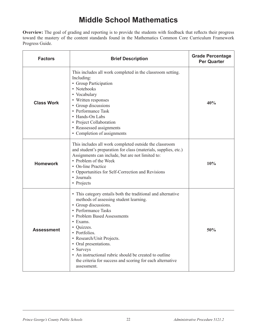## **Middle School Mathematics**

**Overview:** The goal of grading and reporting is to provide the students with feedback that reflects their progress toward the mastery of the content standards found in the Mathematics Common Core Curriculum Framework Progress Guide.

| <b>Factors</b>    | <b>Brief Description</b>                                                                                                                                                                                                                                                                                                                                                                                                               | <b>Grade Percentage</b><br><b>Per Quarter</b> |
|-------------------|----------------------------------------------------------------------------------------------------------------------------------------------------------------------------------------------------------------------------------------------------------------------------------------------------------------------------------------------------------------------------------------------------------------------------------------|-----------------------------------------------|
| <b>Class Work</b> | This includes all work completed in the classroom setting.<br>Including:<br>• Group Participation<br>• Notebooks<br>• Vocabulary<br>• Written responses<br>• Group discussions<br>• Performance Task<br>• Hands-On Labs<br>• Project Collaboration<br>• Reassessed assignments<br>• Completion of assignments                                                                                                                          | 40%                                           |
| <b>Homework</b>   | This includes all work completed outside the classroom<br>and student's preparation for class (materials, supplies, etc.)<br>Assignments can include, but are not limited to:<br>• Problem of the Week<br>• On-line Practice<br>• Opportunities for Self-Correction and Revisions<br>• Journals<br>• Projects                                                                                                                          | 10%                                           |
| <b>Assessment</b> | • This category entails both the traditional and alternative<br>methods of assessing student learning.<br>• Group discussions.<br>• Performance Tasks<br>• Problem Based Assessments<br>• Exams.<br>• Quizzes.<br>• Portfolios.<br>Research/Unit Projects.<br>• Oral presentations.<br>• Surveys<br>• An instructional rubric should be created to outline<br>the criteria for success and scoring for each alternative<br>assessment. | 50%                                           |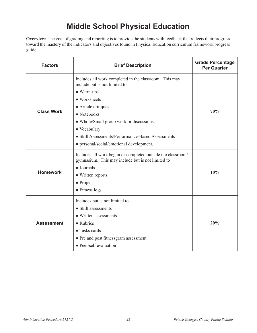# **Middle School Physical Education**

**Overview:** The goal of grading and reporting is to provide the students with feedback that reflects their progress toward the mastery of the indicators and objectives found in Physical Education curriculum framework progress guide.

| <b>Factors</b>    | <b>Brief Description</b>                                                                                                                                                                                                                                                                                                        | <b>Grade Percentage</b><br><b>Per Quarter</b> |
|-------------------|---------------------------------------------------------------------------------------------------------------------------------------------------------------------------------------------------------------------------------------------------------------------------------------------------------------------------------|-----------------------------------------------|
| <b>Class Work</b> | Includes all work completed in the classroom. This may<br>include but is not limited to<br>• Warm-ups<br>• Worksheets<br>• Article critiques<br>$\bullet$ Notebooks<br>• Whole/Small group work or discussions<br>• Vocabulary<br>• Skill Assessments/Performance-Based Assessments<br>• personal/social/emotional development. | 70%                                           |
| <b>Homework</b>   | Includes all work begun or completed outside the classroom/<br>gymnasium. This may include but is not limited to<br>$\bullet$ Journals<br>• Written reports<br>$\bullet$ Projects<br>• Fitness logs                                                                                                                             | 10%                                           |
| <b>Assessment</b> | Includes but is not limited to<br>• Skill assessments<br>• Written assessments<br>$\bullet$ Rubrics<br>• Tasks cards<br>• Pre and post fitnessgram assessment<br>• Peer/self evaluation                                                                                                                                         | 20%                                           |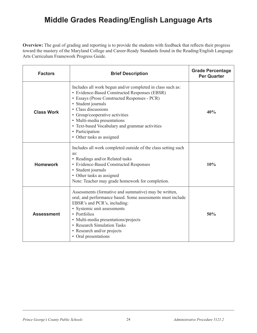### **Middle Grades Reading/English Language Arts**

**Overview:** The goal of grading and reporting is to provide the students with feedback that reflects their progress toward the mastery of the Maryland College and Career-Ready Standards found in the Reading/English Language Arts Curriculum Framework Progress Guide.

| <b>Factors</b>    | <b>Brief Description</b>                                                                                                                                                                                                                                                                                                                                                    | <b>Grade Percentage</b><br><b>Per Quarter</b> |
|-------------------|-----------------------------------------------------------------------------------------------------------------------------------------------------------------------------------------------------------------------------------------------------------------------------------------------------------------------------------------------------------------------------|-----------------------------------------------|
| <b>Class Work</b> | Includes all work begun and/or completed in class such as:<br>• Evidence-Based Constructed Responses (EBSR)<br>• Essays (Prose Constructed Responses - PCR)<br>• Student journals<br>• Class discussions<br>• Group/cooperative activities<br>• Multi-media presentations<br>• Text-based Vocabulary and grammar activities<br>• Participation<br>• Other tasks as assigned | 40%                                           |
| <b>Homework</b>   | Includes all work completed outside of the class setting such<br>as:<br>• Readings and/or Related tasks<br>• Evidence-Based Constructed Responses<br>• Student journals<br>• Other tasks as assigned<br>Note: Teacher may grade homework for completion.                                                                                                                    | 10%                                           |
| <b>Assessment</b> | Assessments (formative and summative) may be written,<br>oral, and performance based. Some assessments must include<br>EBSR's and PCR's, including:<br>• Systemic unit assessments<br>• Portfolios<br>• Multi-media presentations/projects<br>• Research Simulation Tasks<br>• Research and/or projects<br>• Oral presentations                                             | 50%                                           |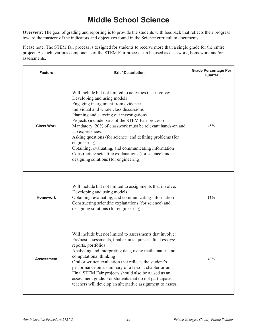## **Middle School Science**

**Overview:** The goal of grading and reporting is to provide the students with feedback that reflects their progress toward the mastery of the indicators and objectives found in the Science curriculum documents.

Please note: The STEM fair process is designed for students to receive more than a single grade for the entire project. As such, various components of the STEM Fair process can be used as classwork, homework and/or assessments.

| <b>Factors</b>    | <b>Brief Description</b>                                                                                                                                                                                                                                                                                                                                                                                                                                                                                                                                                                          | <b>Grade Percentage Per</b><br>Quarter |
|-------------------|---------------------------------------------------------------------------------------------------------------------------------------------------------------------------------------------------------------------------------------------------------------------------------------------------------------------------------------------------------------------------------------------------------------------------------------------------------------------------------------------------------------------------------------------------------------------------------------------------|----------------------------------------|
| <b>Class Work</b> | Will include but not limited to activities that involve:<br>Developing and using models<br>Engaging in argument from evidence<br>Individual and whole class discussions<br>Planning and carrying out investigations<br>Projects (include parts of the STEM Fair process)<br>Mandatory: 20% of classwork must be relevant hands-on and<br>lab experiences.<br>Asking questions (for science) and defining problems (for<br>engineering)<br>Obtaining, evaluating, and communicating information<br>Constructing scientific explanations (for science) and<br>designing solutions (for engineering) | 45%                                    |
| <b>Homework</b>   | Will include but not limited to assignments that involve:<br>Developing and using models<br>Obtaining, evaluating, and communicating information<br>Constructing scientific explanations (for science) and<br>designing solutions (for engineering)                                                                                                                                                                                                                                                                                                                                               | 15%                                    |
| <b>Assessment</b> | Will include but not limited to assessments that involve:<br>Pre/post assessments, final exams, quizzes, final essays/<br>reports, portfolios<br>Analyzing and interpreting data, using mathematics and<br>computational thinking<br>Oral or written evaluation that reflects the student's<br>performance on a summary of a lesson, chapter or unit<br>Final STEM Fair projects should also be a used as an<br>assessment grade. For students that do not participate,<br>teachers will develop an alternative assignment to assess.                                                             | 40%                                    |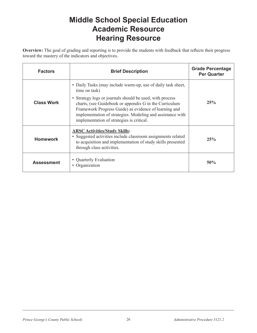### **Middle School Special Education Academic Resource Hearing Resource**

**Overview:** The goal of grading and reporting is to provide the students with feedback that reflects their progress toward the mastery of the indicators and objectives.

| <b>Factors</b>    | <b>Brief Description</b>                                                                                                                                                                                                                                                                                                                                                | <b>Grade Percentage</b><br><b>Per Quarter</b> |
|-------------------|-------------------------------------------------------------------------------------------------------------------------------------------------------------------------------------------------------------------------------------------------------------------------------------------------------------------------------------------------------------------------|-----------------------------------------------|
| <b>Class Work</b> | • Daily Tasks (may include warm-up, use of daily task sheet,<br>time on task)<br>• Strategy logs or journals should be used, with process<br>charts, (see Guidebook or appendix G in the Curriculum<br>Framework Progress Guide) as evidence of learning and<br>implementation of strategies. Modeling and assistance with<br>implementation of strategies is critical. | 25%                                           |
| <b>Homework</b>   | <b>ARSC Activities/Study Skills:</b><br>• Suggested activities include classroom assignments related<br>to acquisition and implementation of study skills presented<br>through class activities.                                                                                                                                                                        | 25%                                           |
| <b>Assessment</b> | • Quarterly Evaluation<br>Organization                                                                                                                                                                                                                                                                                                                                  | 50%                                           |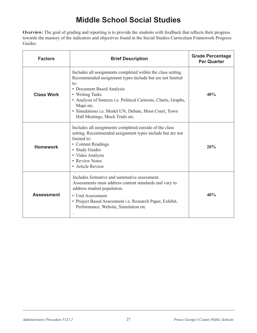# **Middle School Social Studies**

**Overview:** The goal of grading and reporting is to provide the students with feedback that reflects their progress towards the mastery of the indicators and objectives found in the Social Studies Curriculum Framework Progress Guides.

| <b>Factors</b>    | <b>Brief Description</b>                                                                                                                                                                                                                                                                                                                                                 | <b>Grade Percentage</b><br><b>Per Quarter</b> |
|-------------------|--------------------------------------------------------------------------------------------------------------------------------------------------------------------------------------------------------------------------------------------------------------------------------------------------------------------------------------------------------------------------|-----------------------------------------------|
| <b>Class Work</b> | Includes all assignments completed within the class setting.<br>Recommended assignment types include but are not limited<br>$\alpha$ :<br>• Document Based Analysis<br>• Writing Tasks<br>• Analysis of Sources <i>i.e.</i> Political Cartoons, Charts, Graphs,<br>Maps etc.<br>· Simulations i.e. Model UN, Debate, Moot Court, Town<br>Hall Meetings, Mock Trials etc. | 40%                                           |
| <b>Homework</b>   | Includes all assignments completed outside of the class<br>setting. Recommended assignment types include but are not<br>limited to:<br>• Content Readings<br>• Study Guides<br>• Video Analysis<br>• Review Notes<br>• Article Review                                                                                                                                    | 20%                                           |
| <b>Assessment</b> | Includes formative and summative assessment.<br>Assessments must address content standards and vary to<br>address student population.<br>• Unit Assessment<br>• Project Based Assessment i.e. Research Paper, Exhibit,<br>Performance, Website, Simulation etc.                                                                                                          | 40%                                           |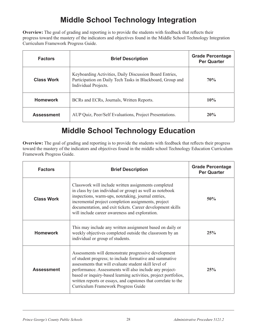# **Middle School Technology Integration**

**Overview:** The goal of grading and reporting is to provide the students with feedback that reflects their progress toward the mastery of the indicators and objectives found in the Middle School Technology Integration Curriculum Framework Progress Guide.

| <b>Factors</b>    | <b>Brief Description</b>                                                                                                                      | <b>Grade Percentage</b><br><b>Per Quarter</b> |
|-------------------|-----------------------------------------------------------------------------------------------------------------------------------------------|-----------------------------------------------|
| <b>Class Work</b> | Keyboarding Activities, Daily Discussion Board Entries,<br>Participation on Daily Tech Tasks in Blackboard, Group and<br>Individual Projects. | <b>70%</b>                                    |
| <b>Homework</b>   | BCRs and ECRs, Journals, Written Reports.                                                                                                     | 10%                                           |
| <b>Assessment</b> | AUP Quiz, Peer/Self Evaluations, Project Presentations.                                                                                       | 20%                                           |

### **Middle School Technology Education**

**Overview:** The goal of grading and reporting is to provide the students with feedback that reflects their progress toward the mastery of the indicators and objectives found in the middle school Technology Education Curriculum Framework Progress Guide.

| <b>Factors</b>    | <b>Brief Description</b>                                                                                                                                                                                                                                                                                                                                                                                        | <b>Grade Percentage</b><br><b>Per Quarter</b> |
|-------------------|-----------------------------------------------------------------------------------------------------------------------------------------------------------------------------------------------------------------------------------------------------------------------------------------------------------------------------------------------------------------------------------------------------------------|-----------------------------------------------|
| <b>Class Work</b> | Classwork will include written assignments completed<br>in class by (an individual or group) as well as notebook<br>inspections, warm-ups, notetaking, journal entries,<br>incremental project completion assignments, project<br>documentation, and exit tickets. Career development skills<br>will include career awareness and exploration.                                                                  | 50%                                           |
| <b>Homework</b>   | This may include any written assignment based on daily or<br>weekly objectives completed outside the classroom by an<br>individual or group of students.                                                                                                                                                                                                                                                        | 25%                                           |
| <b>Assessment</b> | Assessments will demonstrate progressive development<br>of student progress; to include formative and summative<br>assessments that will evaluate student skill level of<br>performance. Assessments will also include any project-<br>based or inquiry-based learning activities, project portfolios,<br>written reports or essays, and capstones that correlate to the<br>Curriculum Framework Progress Guide | 25%                                           |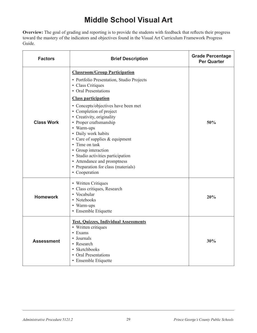## **Middle School Visual Art**

**Overview:** The goal of grading and reporting is to provide the students with feedback that reflects their progress toward the mastery of the indicators and objectives found in the Visual Art Curriculum Framework Progress Guide.

| <b>Factors</b>    | <b>Brief Description</b>                                                                                                                                                                                                                                                                                                                                                                                                                   | <b>Grade Percentage</b><br><b>Per Quarter</b> |
|-------------------|--------------------------------------------------------------------------------------------------------------------------------------------------------------------------------------------------------------------------------------------------------------------------------------------------------------------------------------------------------------------------------------------------------------------------------------------|-----------------------------------------------|
| <b>Class Work</b> | <b>Classroom/Group Participation</b><br>• Portfolio Presentation, Studio Projects<br>• Class Critiques<br>• Oral Presentations<br><b>Class participation</b><br>• Concepts/objectives have been met<br>• Completion of project<br>• Creativity, originality<br>• Proper craftsmanship<br>• Warm-ups<br>• Daily work habits<br>• Care of supplies & equipment<br>• Time on task<br>• Group interaction<br>• Studio activities participation | 50%                                           |
|                   | • Attendance and promptness<br>• Preparation for class (materials)<br>• Cooperation                                                                                                                                                                                                                                                                                                                                                        |                                               |
| <b>Homework</b>   | • Written Critiques<br>· Class critiques, Research<br>• Vocabular<br>• Notebooks<br>• Warm-ups<br>• Ensemble Etiquette                                                                                                                                                                                                                                                                                                                     | 20%                                           |
| <b>Assessment</b> | <b>Test, Quizzes, Individual Assessments</b><br>• Written critiques<br>• Exams<br>• Journals<br>• Research<br>• Sketchbooks<br>• Oral Presentations<br>• Ensemble Etiquette                                                                                                                                                                                                                                                                | 30%                                           |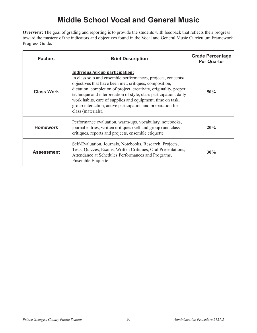# **Middle School Vocal and General Music**

**Overview:** The goal of grading and reporting is to provide the students with feedback that reflects their progress toward the mastery of the indicators and objectives found in the Vocal and General Music Curriculum Framework Progress Guide.

| <b>Factors</b>    | <b>Brief Description</b>                                                                                                                                                                                                                                                                                                                                                                                                                               | <b>Grade Percentage</b><br><b>Per Quarter</b> |
|-------------------|--------------------------------------------------------------------------------------------------------------------------------------------------------------------------------------------------------------------------------------------------------------------------------------------------------------------------------------------------------------------------------------------------------------------------------------------------------|-----------------------------------------------|
| <b>Class Work</b> | Individual/group participation:<br>In class solo and ensemble performances, projects, concepts/<br>objectives that have been met, critiques, composition,<br>dictation, completion of project, creativity, originality, proper<br>technique and interpretation of style, class participation, daily<br>work habits, care of supplies and equipment, time on task,<br>group interaction, active participation and preparation for<br>class (materials), | 50%                                           |
| <b>Homework</b>   | Performance evaluation, warm-ups, vocabulary, notebooks,<br>journal entries, written critiques (self and group) and class<br>critiques, reports and projects, ensemble etiquette                                                                                                                                                                                                                                                                       | 20%                                           |
| <b>Assessment</b> | Self-Evaluation, Journals, Notebooks, Research, Projects,<br>Tests, Quizzes, Exams, Written Critiques, Oral Presentations,<br>Attendance at Schedules Performances and Programs,<br>Ensemble Etiquette.                                                                                                                                                                                                                                                | 30%                                           |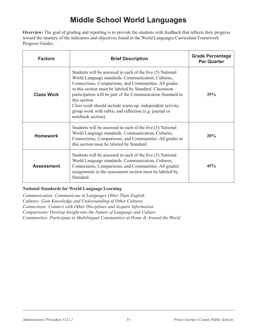# **Middle School World Languages**

**Overview:** The goal of grading and reporting is to provide the students with feedback that reflects their progress toward the mastery of the indicators and objectives found in the World Languages Curriculum Framework Progress Guides.

| <b>Factors</b>    | <b>Brief Description</b>                                                                                                                                                                                                                                                                                                                                                                                                                                        | <b>Grade Percentage</b><br><b>Per Quarter</b> |
|-------------------|-----------------------------------------------------------------------------------------------------------------------------------------------------------------------------------------------------------------------------------------------------------------------------------------------------------------------------------------------------------------------------------------------------------------------------------------------------------------|-----------------------------------------------|
| <b>Class Work</b> | Students will be assessed in each of the five (5) National<br>World Language standards: Communication, Cultures,<br>Connections, Comparisons, and Communities. All grades<br>in this section must be labeled by Standard. Classroom<br>participation will be part of the Communication Standard in<br>this section.<br>Class work should include warm-up. independent activity,<br>group work with rubric and reflection (e.g. journal or<br>notebook section). | 35%                                           |
| <b>Homework</b>   | Students will be assessed in each of the five (5) National<br>World Language standards: Communication, Cultures,<br>Connections, Comparisons, and Communities. All grades in<br>this section must be labeled by Standard.                                                                                                                                                                                                                                       | 20%                                           |
| <b>Assessment</b> | Students will be assessed in each of the five (5) National<br>World Language standards: Communication, Cultures,<br>Connections, Comparisons, and Communities. All graded<br>assignments in the assessment section must be labeled by<br>Standard.                                                                                                                                                                                                              | 45%                                           |

#### **National Standards for World Language Learning**

*Communication: Communicate in Languages Other Than English Cultures: Gain Knowledge and Understanding of Other Cultures Connections: Connect with Other Disciplines and Acquire Information Comparisons*: *Develop Insight into the Nature of Language and Culture Communities: Participate in Multilingual Communities at Home & Around the World*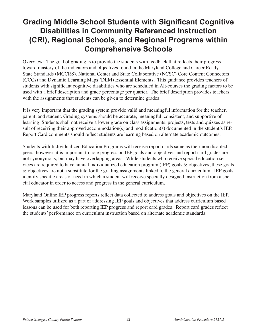### **Grading Middle School Students with Significant Cognitive Disabilities in Community Referenced Instruction (CRI), Regional Schools, and Regional Programs within Comprehensive Schools**

Overview: The goal of grading is to provide the students with feedback that reflects their progress toward mastery of the indicators and objectives found in the Maryland College and Career Ready State Standards (MCCRS), National Center and State Collaborative (NCSC) Core Content Connectors (CCCs) and Dynamic Learning Maps (DLM) Essential Elements. This guidance provides teachers of students with significant cognitive disabilities who are scheduled in Alt-courses the grading factors to be used with a brief description and grade percentage per quarter. The brief description provides teachers with the assignments that students can be given to determine grades.

It is very important that the grading system provide valid and meaningful information for the teacher, parent, and student. Grading systems should be accurate, meaningful, consistent, and supportive of learning. Students shall not receive a lower grade on class assignments, projects, tests and quizzes as result of receiving their approved accommodation(s) and modification(s) documented in the student's IEP. Report Card comments should reflect students are learning based on alternate academic outcomes.

Students with Individualized Education Programs will receive report cards same as their non disabled peers; however, it is important to note progress on IEP goals and objectives and report card grades are not synonymous, but may have overlapping areas. While students who receive special education services are required to have annual individualized education program (IEP) goals & objectives, these goals & objectives are not a substitute for the grading assignments linked to the general curriculum. IEP goals identify specific areas of need in which a student will receive specially designed instruction from a special educator in order to access and progress in the general curriculum.

Maryland Online IEP progress reports reflect data collected to address goals and objectives on the IEP. Work samples utilized as a part of addressing IEP goals and objectives that address curriculum based lessons can be used for both reporting IEP progress and report card grades. Report card grades reflect the students' performance on curriculum instruction based on alternate academic standards.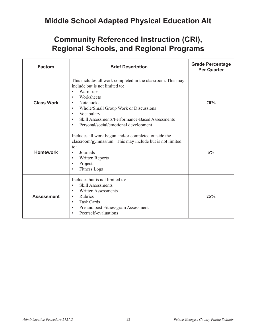### **Middle School Adapted Physical Education Alt**

| <b>Factors</b>    | <b>Brief Description</b>                                                                                                                                                                                                                                                                                                                                              | <b>Grade Percentage</b><br><b>Per Quarter</b> |
|-------------------|-----------------------------------------------------------------------------------------------------------------------------------------------------------------------------------------------------------------------------------------------------------------------------------------------------------------------------------------------------------------------|-----------------------------------------------|
| <b>Class Work</b> | This includes all work completed in the classroom. This may<br>include but is not limited to:<br>Warm-ups<br>$\bullet$<br>Worksheets<br>$\bullet$<br>Notebooks<br>$\bullet$<br>Whole/Small Group Work or Discussions<br>Vocabulary<br>$\bullet$<br>Skill Assessments/Performance-Based Assessments<br>$\bullet$<br>Personal/social/emotional development<br>$\bullet$ | 70%                                           |
| <b>Homework</b>   | Includes all work begun and/or completed outside the<br>classroom/gymnasium. This may include but is not limited<br>to:<br>Journals<br>$\bullet$<br>Written Reports<br>$\bullet$<br>Projects<br>$\bullet$<br><b>Fitness Logs</b>                                                                                                                                      | 5%                                            |
| <b>Assessment</b> | Includes but is not limited to:<br><b>Skill Assessments</b><br><b>Written Assessments</b><br>$\bullet$<br>Rubrics<br>$\bullet$<br><b>Task Cards</b><br>Pre and post Fitnessgram Assessment<br>$\bullet$<br>Peer/self-evaluations                                                                                                                                      | 25%                                           |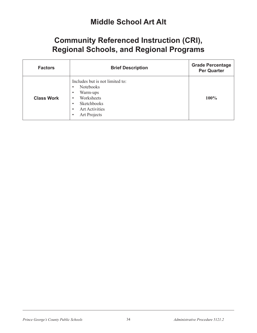#### **Middle School Art Alt**

| <b>Factors</b>    | <b>Brief Description</b>                                                                                                                                                                                            | <b>Grade Percentage</b><br><b>Per Quarter</b> |
|-------------------|---------------------------------------------------------------------------------------------------------------------------------------------------------------------------------------------------------------------|-----------------------------------------------|
| <b>Class Work</b> | Includes but is not limited to:<br><b>Notebooks</b><br>$\bullet$<br>Warm-ups<br>$\bullet$<br>Worksheets<br>$\bullet$<br>Sketchbooks<br>$\bullet$<br><b>Art Activities</b><br>$\bullet$<br>Art Projects<br>$\bullet$ | 100%                                          |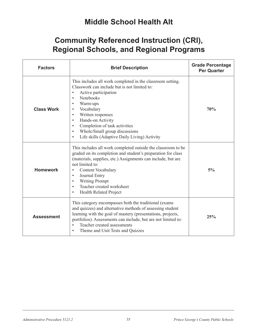### **Middle School Health Alt**

| <b>Factors</b>    | <b>Brief Description</b>                                                                                                                                                                                                                                                                                                                                                                                                                                          | <b>Grade Percentage</b><br><b>Per Quarter</b> |
|-------------------|-------------------------------------------------------------------------------------------------------------------------------------------------------------------------------------------------------------------------------------------------------------------------------------------------------------------------------------------------------------------------------------------------------------------------------------------------------------------|-----------------------------------------------|
| <b>Class Work</b> | This includes all work completed in the classroom setting.<br>Classwork can include but is not limited to:<br>Active participation<br>$\bullet$<br><b>Notebooks</b><br>$\bullet$<br>Warm-ups<br>$\bullet$<br>Vocabulary<br>$\bullet$<br>Written responses<br>$\bullet$<br>Hands-on Activity<br>$\bullet$<br>Completion of task activities<br>$\bullet$<br>Whole/Small group discussions<br>$\bullet$<br>Life skills (Adaptive Daily Living) Activity<br>$\bullet$ | 70%                                           |
| <b>Homework</b>   | This includes all work completed outside the classroom to be<br>graded on its completion and student's preparation for class<br>(materials, supplies, etc.) Assignments can include, but are<br>not limited to:<br>Content Vocabulary<br>$\bullet$<br>Journal Entry<br>$\bullet$<br><b>Writing Prompt</b><br>$\bullet$<br>Teacher created worksheet<br>$\bullet$<br><b>Health Related Project</b><br>$\bullet$                                                    | 5%                                            |
| <b>Assessment</b> | This category encompasses both the traditional (exams)<br>and quizzes) and alternative methods of assessing student<br>learning with the goal of mastery (presentations, projects,<br>portfolios). Assessments can include, but are not limited to:<br>Teacher created assessments<br>$\bullet$<br>Theme and Unit Tests and Quizzes<br>$\bullet$                                                                                                                  | 25%                                           |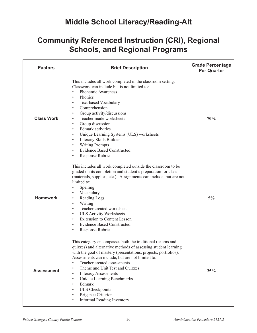### **Middle School Literacy/Reading-Alt**

| <b>Factors</b>    | <b>Brief Description</b>                                                                                                                                                                                                                                                                                                                                                                                                                                                                                                                                                                                                                | <b>Grade Percentage</b><br><b>Per Quarter</b> |
|-------------------|-----------------------------------------------------------------------------------------------------------------------------------------------------------------------------------------------------------------------------------------------------------------------------------------------------------------------------------------------------------------------------------------------------------------------------------------------------------------------------------------------------------------------------------------------------------------------------------------------------------------------------------------|-----------------------------------------------|
| <b>Class Work</b> | This includes all work completed in the classroom setting.<br>Classwork can include but is not limited to:<br>Phonemic Awareness<br>$\bullet$<br>Phonics<br>$\bullet$<br><b>Text-based Vocabulary</b><br>$\bullet$<br>Comprehension<br>$\bullet$<br>Group activity/discussions<br>$\bullet$<br>Teacher made worksheets<br>$\bullet$<br>Group discussion<br>$\bullet$<br><b>Edmark</b> activities<br>$\bullet$<br>Unique Learning Systems (ULS) worksheets<br>$\bullet$<br>Literacy Skills Builder<br>$\bullet$<br><b>Writing Prompts</b><br>$\bullet$<br><b>Evidence Based Constructed</b><br>$\bullet$<br>Response Rubric<br>$\bullet$ | 70%                                           |
| <b>Homework</b>   | This includes all work completed outside the classroom to be<br>graded on its completion and student's preparation for class<br>(materials, supplies, etc.). Assignments can include, but are not<br>limited to:<br>Spelling<br>$\bullet$<br>Vocabulary<br>$\bullet$<br>Reading Logs<br>$\bullet$<br>Writing<br>$\bullet$<br>Teacher created worksheets<br>$\bullet$<br><b>ULS Activity Worksheets</b><br>$\bullet$<br>Ex tension to Content Lesson<br>$\bullet$<br><b>Evidence Based Constructed</b><br>$\bullet$<br>Response Rubric                                                                                                   | 5%                                            |
| <b>Assessment</b> | This category encompasses both the traditional (exams and<br>quizzes) and alternative methods of assessing student learning<br>with the goal of mastery (presentations, projects, portfolios).<br>Assessments can include, but are not limited to:<br>Teacher created assessments<br>$\bullet$<br>Theme and Unit Test and Quizzes<br>$\bullet$<br><b>Literacy Assessments</b><br>$\bullet$<br>Unique Learning Benchmarks<br>$\bullet$<br>Edmark<br>$\bullet$<br><b>ULS</b> Checkpoints<br>$\bullet$<br><b>Brigance Criterion</b><br>$\bullet$<br>Informal Reading Inventory<br>$\bullet$                                                | 25%                                           |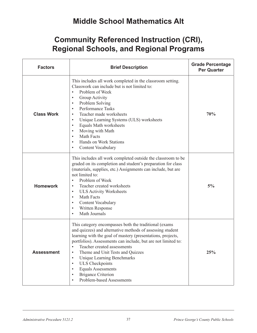### **Middle School Mathematics Alt**

| <b>Factors</b>    | <b>Brief Description</b>                                                                                                                                                                                                                                                                                                                                                                                                                                                                                                                            | <b>Grade Percentage</b><br><b>Per Quarter</b> |
|-------------------|-----------------------------------------------------------------------------------------------------------------------------------------------------------------------------------------------------------------------------------------------------------------------------------------------------------------------------------------------------------------------------------------------------------------------------------------------------------------------------------------------------------------------------------------------------|-----------------------------------------------|
| <b>Class Work</b> | This includes all work completed in the classroom setting.<br>Classwork can include but is not limited to:<br>Problem of Week<br>$\bullet$<br>Group Activity<br>$\bullet$<br>Problem Solving<br>$\bullet$<br>Performance Tasks<br>$\bullet$<br>Teacher made worksheets<br>$\bullet$<br>Unique Learning Systems (ULS) worksheets<br>$\bullet$<br>Equals Math worksheets<br>$\bullet$<br>Moving with Math<br>$\bullet$<br>Math Facts<br>$\bullet$<br>Hands on Work Stations<br>$\bullet$<br>Content Vocabulary<br>$\bullet$                           | 70%                                           |
| <b>Homework</b>   | This includes all work completed outside the classroom to be<br>graded on its completion and student's preparation for class<br>(materials, supplies, etc.) Assignments can include, but are<br>not limited to:<br>Problem of Week<br>$\bullet$<br>Teacher created worksheets<br>$\bullet$<br><b>ULS Activity Worksheets</b><br>$\bullet$<br>Math Facts<br>$\bullet$<br>Content Vocabulary<br>$\bullet$<br>Written Response<br>$\bullet$<br>Math Journals<br>$\bullet$                                                                              | 5%                                            |
| <b>Assessment</b> | This category encompasses both the traditional (exams<br>and quizzes) and alternative methods of assessing student<br>learning with the goal of mastery (presentations, projects,<br>portfolios). Assessments can include, but are not limited to:<br>Teacher created assessments<br>$\bullet$<br>Theme and Unit Tests and Quizzes<br>$\bullet$<br><b>Unique Learning Benchmarks</b><br>$\bullet$<br><b>ULS</b> Checkpoints<br>$\bullet$<br><b>Equals Assessments</b><br><b>Brigance Criterion</b><br>$\bullet$<br><b>Problem-based Assessments</b> | 25%                                           |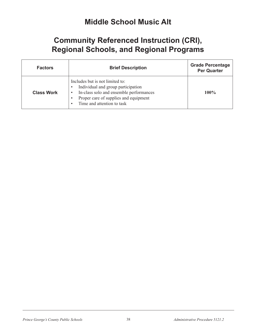#### **Middle School Music Alt**

| <b>Factors</b>    | <b>Brief Description</b>                                                                                                                                                                | <b>Grade Percentage</b><br><b>Per Quarter</b> |
|-------------------|-----------------------------------------------------------------------------------------------------------------------------------------------------------------------------------------|-----------------------------------------------|
| <b>Class Work</b> | Includes but is not limited to:<br>Individual and group participation<br>In-class solo and ensemble performances<br>Proper care of supplies and equipment<br>Time and attention to task | $100\%$                                       |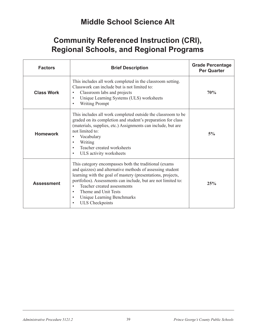### **Middle School Science Alt**

| <b>Factors</b>    | <b>Brief Description</b>                                                                                                                                                                                                                                                                                                                                                                    | <b>Grade Percentage</b><br><b>Per Quarter</b> |
|-------------------|---------------------------------------------------------------------------------------------------------------------------------------------------------------------------------------------------------------------------------------------------------------------------------------------------------------------------------------------------------------------------------------------|-----------------------------------------------|
| <b>Class Work</b> | This includes all work completed in the classroom setting.<br>Classwork can include but is not limited to:<br>Classroom labs and projects<br>$\bullet$<br>Unique Learning Systems (ULS) worksheets<br>$\bullet$<br><b>Writing Prompt</b>                                                                                                                                                    | 70%                                           |
| <b>Homework</b>   | This includes all work completed outside the classroom to be<br>graded on its completion and student's preparation for class<br>(materials, supplies, etc.) Assignments can include, but are<br>not limited to:<br>Vocabulary<br>Writing<br>Teacher created worksheets<br>ULS activity worksheets                                                                                           | $5\%$                                         |
| <b>Assessment</b> | This category encompasses both the traditional (exams<br>and quizzes) and alternative methods of assessing student<br>learning with the goal of mastery (presentations, projects,<br>portfolios). Assessments can include, but are not limited to:<br>Teacher created assessments<br>Theme and Unit Tests<br>$\bullet$<br>Unique Learning Benchmarks<br>$\bullet$<br><b>ULS</b> Checkpoints | 25%                                           |